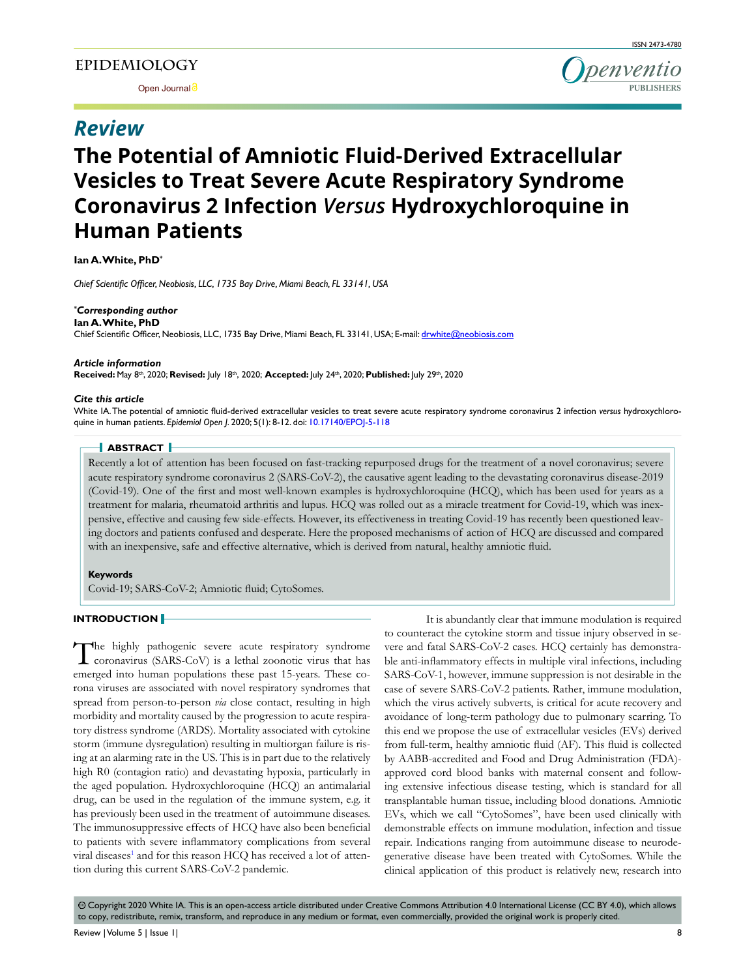Open Journal<sup>3</sup>

# *Review*



# **The Potential of Amniotic Fluid-Derived Extracellular Vesicles to Treat Severe Acute Respiratory Syndrome Coronavirus 2 Infection** *Versus* **Hydroxychloroquine in Human Patients**

**Ian A. White, PhD\***

Chief Scientific Officer, Neobiosis, LLC, 1735 Bay Drive, Miami Beach, FL 33141, USA

# *\*Corresponding author*

**Ian A. White, PhD** Chief Scientific Officer, Neobiosis, LLC, 1735 Bay Drive, Miami Beach, FL 33141, USA; E-mail: drwhite@neobiosis.com

#### *Article information*

Received: May 8<sup>th</sup>, 2020; Revised: July 18<sup>th</sup>, 2020; Accepted: July 24<sup>th</sup>, 2020; Published: July 29<sup>th</sup>, 2020

#### *Cite this article*

White IA. The potential of amniotic fluid-derived extracellular vesicles to treat severe acute respiratory syndrome coronavirus 2 infection versus hydroxychloroquine in human patients. Epidemiol Open J. 2020; 5(1): 8-12. doi: 10.17140/EPOJ-5-118

# **ABSTRACT**

Recently a lot of attention has been focused on fast-tracking repurposed drugs for the treatment of a novel coronavirus; severe acute respiratory syndrome coronavirus 2 (SARS-CoV-2), the causative agent leading to the devastating coronavirus disease-2019 (Covid-19). One of the first and most well-known examples is hydroxychloroquine (HCQ), which has been used for years as a treatment for malaria, rheumatoid arthritis and lupus. HCQ was rolled out as a miracle treatment for Covid-19, which was inexpensive, effective and causing few side-effects. However, its effectiveness in treating Covid-19 has recently been questioned leaving doctors and patients confused and desperate. Here the proposed mechanisms of action of HCQ are discussed and compared with an inexpensive, safe and effective alternative, which is derived from natural, healthy amniotic fluid.

#### **Keywords**

Covid-19; SARS-CoV-2; Amniotic fluid; CytoSomes.

#### **INTRODUCTION**

The highly pathogenic severe acute respiratory syndrome<br>coronavirus (SARS-CoV) is a lethal zoonotic virus that has The highly pathogenic severe acute respiratory syndrome emerged into human populations these past 15-years. These corona viruses are associated with novel respiratory syndromes that spread from person-to-person *via* close contact, resulting in high morbidity and mortality caused by the progression to acute respiratory distress syndrome (ARDS). Mortality associated with cytokine storm (immune dysregulation) resulting in multiorgan failure is rising at an alarming rate in the US. This is in part due to the relatively high R0 (contagion ratio) and devastating hypoxia, particularly in the aged population. Hydroxychloroquine (HCQ) an antimalarial drug, can be used in the regulation of the immune system, e.g. it has previously been used in the treatment of autoimmune diseases. The immunosuppressive effects of HCQ have also been beneficial to patients with severe inflammatory complications from several viral diseases<sup>1</sup> and for this reason HCQ has received a lot of attention during this current SARS-CoV-2 pandemic.

It is abundantly clear that immune modulation is required to counteract the cytokine storm and tissue injury observed in severe and fatal SARS-CoV-2 cases. HCQ certainly has demonstrable anti-inflammatory effects in multiple viral infections, including SARS-CoV-1, however, immune suppression is not desirable in the case of severe SARS-CoV-2 patients. Rather, immune modulation, which the virus actively subverts, is critical for acute recovery and avoidance of long-term pathology due to pulmonary scarring. To this end we propose the use of extracellular vesicles (EVs) derived from full-term, healthy amniotic fluid (AF). This fluid is collected by AABB-accredited and Food and Drug Administration (FDA)approved cord blood banks with maternal consent and following extensive infectious disease testing, which is standard for all transplantable human tissue, including blood donations. Amniotic EVs, which we call "CytoSomes", have been used clinically with demonstrable effects on immune modulation, infection and tissue repair. Indications ranging from autoimmune disease to neurodegenerative disease have been treated with CytoSomes. While the clinical application of this product is relatively new, research into

@ Copyright 2020 White IA. This is an open-access article distributed under Creative Commons Attribution 4.0 International License (CC BY 4.0), which allows to copy, redistribute, remix, transform, and reproduce in any medium or format, even commercially, provided the original work is properly cited.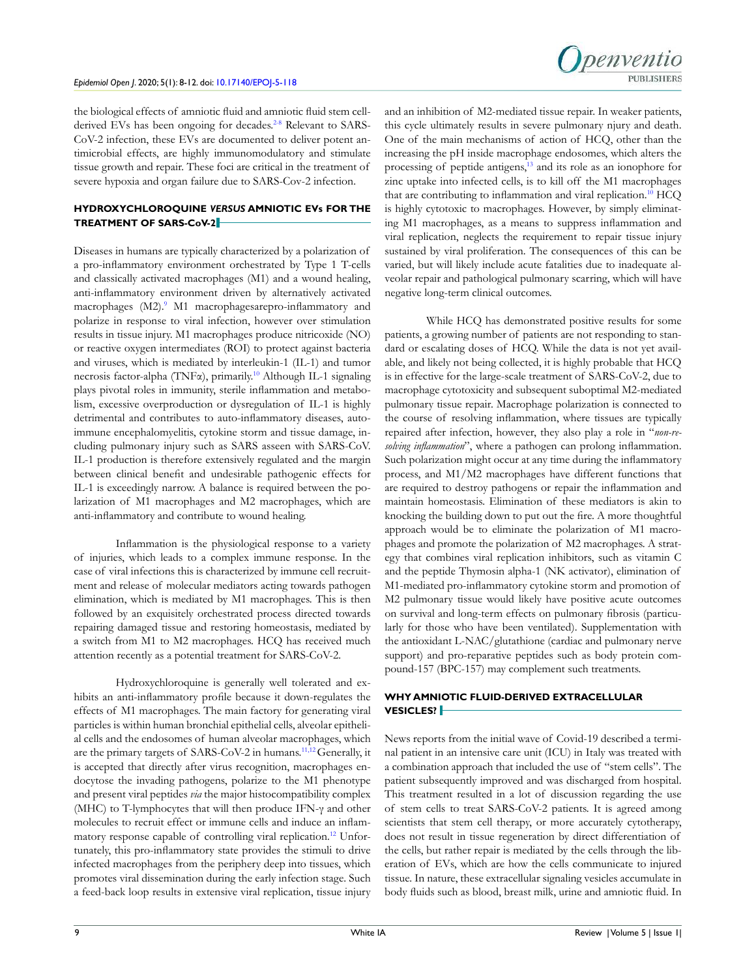

the biological effects of amniotic fluid and amniotic fluid stem cellderived EVs has been ongoing for decades.<sup>2-8</sup> Relevant to SARS-CoV-2 infection, these EVs are documented to deliver potent antimicrobial effects, are highly immunomodulatory and stimulate tissue growth and repair. These foci are critical in the treatment of severe hypoxia and organ failure due to SARS-Cov-2 infection.

## **HYDROXYCHLOROQUINE** *VERSUS* **AMNIOTIC EVs FOR THE TREATMENT OF SARS-CoV-2**

Diseases in humans are typically characterized by a polarization of a pro-inflammatory environment orchestrated by Type 1 T-cells and classically activated macrophages (M1) and a wound healing, anti-inflammatory environment driven by alternatively activated macrophages (M2).<sup>9</sup> M1 macrophagesarepro-inflammatory and polarize in response to viral infection, however over stimulation results in tissue injury. M1 macrophages produce nitricoxide (NO) or reactive oxygen intermediates (ROI) to protect against bacteria and viruses, which is mediated by interleukin-1 (IL-1) and tumor necrosis factor-alpha (TNF $\alpha$ ), primarily.<sup>10</sup> Although IL-1 signaling plays pivotal roles in immunity, sterile inflammation and metabolism, excessive overproduction or dysregulation of IL-1 is highly detrimental and contributes to auto-inflammatory diseases, autoimmune encephalomyelitis, cytokine storm and tissue damage, including pulmonary injury such as SARS asseen with SARS-CoV. IL-1 production is therefore extensively regulated and the margin between clinical benefit and undesirable pathogenic effects for IL-1 is exceedingly narrow. A balance is required between the polarization of M1 macrophages and M2 macrophages, which are anti-inflammatory and contribute to wound healing.

Inflammation is the physiological response to a variety of injuries, which leads to a complex immune response. In the case of viral infections this is characterized by immune cell recruitment and release of molecular mediators acting towards pathogen elimination, which is mediated by M1 macrophages. This is then followed by an exquisitely orchestrated process directed towards repairing damaged tissue and restoring homeostasis, mediated by a switch from M1 to M2 macrophages. HCQ has received much attention recently as a potential treatment for SARS-CoV-2.

Hydroxychloroquine is generally well tolerated and exhibits an anti-inflammatory profile because it down-regulates the effects of M1 macrophages. The main factory for generating viral particles is within human bronchial epithelial cells, alveolar epithelial cells and the endosomes of human alveolar macrophages, which are the primary targets of SARS-CoV-2 in humans.11,12 Generally, it is accepted that directly after virus recognition, macrophages endocytose the invading pathogens, polarize to the M1 phenotype and present viral peptides *via* the major histocompatibility complex (MHC) to T-lymphocytes that will then produce IFN- $\gamma$  and other molecules to recruit effect or immune cells and induce an inflammatory response capable of controlling viral replication.<sup>12</sup> Unfortunately, this pro-inflammatory state provides the stimuli to drive infected macrophages from the periphery deep into tissues, which promotes viral dissemination during the early infection stage. Such a feed-back loop results in extensive viral replication, tissue injury

and an inhibition of M2-mediated tissue repair. In weaker patients, this cycle ultimately results in severe pulmonary njury and death. One of the main mechanisms of action of HCQ, other than the increasing the pH inside macrophage endosomes, which alters the processing of peptide antigens,<sup>13</sup> and its role as an ionophore for zinc uptake into infected cells, is to kill off the M1 macrophages that are contributing to inflammation and viral replication.<sup>10</sup> HCQ is highly cytotoxic to macrophages. However, by simply eliminating M1 macrophages, as a means to suppress inflammation and viral replication, neglects the requirement to repair tissue injury sustained by viral proliferation. The consequences of this can be varied, but will likely include acute fatalities due to inadequate alveolar repair and pathological pulmonary scarring, which will have negative long-term clinical outcomes.

While HCQ has demonstrated positive results for some patients, a growing number of patients are not responding to standard or escalating doses of HCQ. While the data is not yet available, and likely not being collected, it is highly probable that HCQ is in effective for the large-scale treatment of SARS-CoV-2, due to macrophage cytotoxicity and subsequent suboptimal M2-mediated pulmonary tissue repair. Macrophage polarization is connected to the course of resolving inflammation, where tissues are typically repaired after infection, however, they also play a role in "*non-re*solving inflammation", where a pathogen can prolong inflammation. Such polarization might occur at any time during the inflammatory process, and M1/M2 macrophages have different functions that are required to destroy pathogens or repair the inflammation and maintain homeostasis. Elimination of these mediators is akin to knocking the building down to put out the fire. A more thoughtful approach would be to eliminate the polarization of M1 macrophages and promote the polarization of M2 macrophages. A strategy that combines viral replication inhibitors, such as vitamin C and the peptide Thymosin alpha-1 (NK activator), elimination of M1-mediated pro-inflammatory cytokine storm and promotion of M2 pulmonary tissue would likely have positive acute outcomes on survival and long-term effects on pulmonary fibrosis (particularly for those who have been ventilated). Supplementation with the antioxidant L-NAC/glutathione (cardiac and pulmonary nerve support) and pro-reparative peptides such as body protein compound-157 (BPC-157) may complement such treatments.

# **WHY AMNIOTIC FLUID-DERIVED EXTRACELLULAR VESICLES?**

News reports from the initial wave of Covid-19 described a terminal patient in an intensive care unit (ICU) in Italy was treated with a combination approach that included the use of "stem cells". The patient subsequently improved and was discharged from hospital. This treatment resulted in a lot of discussion regarding the use of stem cells to treat SARS-CoV-2 patients. It is agreed among scientists that stem cell therapy, or more accurately cytotherapy, does not result in tissue regeneration by direct differentiation of the cells, but rather repair is mediated by the cells through the liberation of EVs, which are how the cells communicate to injured tissue. In nature, these extracellular signaling vesicles accumulate in body fluids such as blood, breast milk, urine and amniotic fluid. In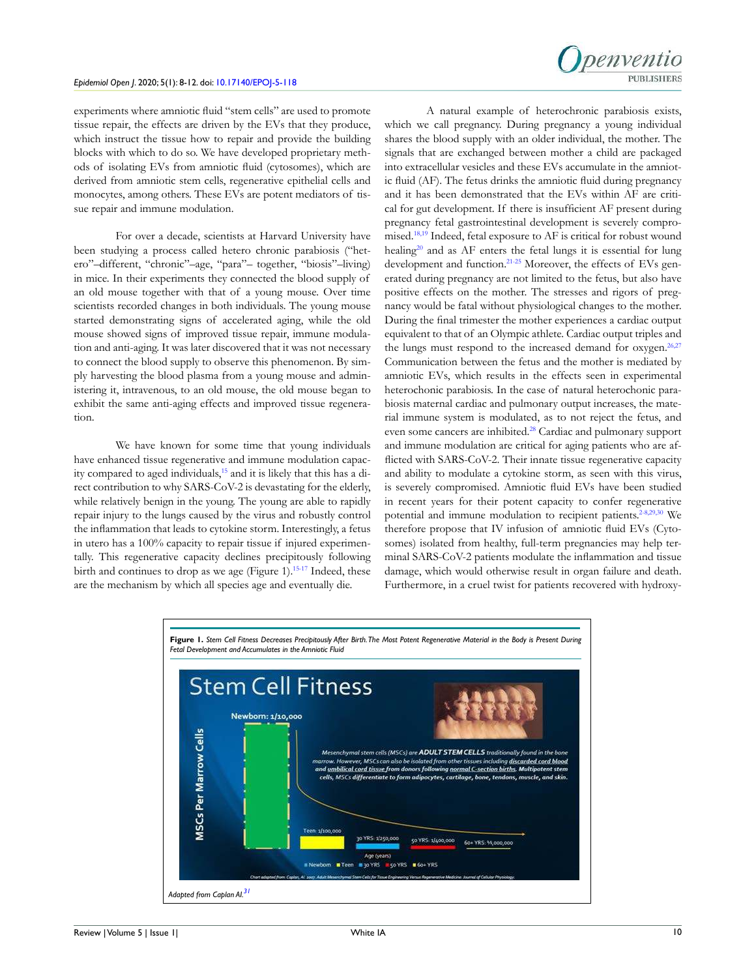

experiments where amniotic fluid "stem cells" are used to promote tissue repair, the effects are driven by the EVs that they produce, which instruct the tissue how to repair and provide the building blocks with which to do so. We have developed proprietary methods of isolating EVs from amniotic fluid (cytosomes), which are derived from amniotic stem cells, regenerative epithelial cells and monocytes, among others. These EVs are potent mediators of tissue repair and immune modulation.

For over a decade, scientists at Harvard University have been studying a process called hetero chronic parabiosis ("hetero"-different, "chronic"-age, "para"- together, "biosis"-living) in mice. In their experiments they connected the blood supply of an old mouse together with that of a young mouse. Over time scientists recorded changes in both individuals. The young mouse started demonstrating signs of accelerated aging, while the old mouse showed signs of improved tissue repair, immune modulation and anti-aging. It was later discovered that it was not necessary to connect the blood supply to observe this phenomenon. By simply harvesting the blood plasma from a young mouse and administering it, intravenous, to an old mouse, the old mouse began to exhibit the same anti-aging effects and improved tissue regeneration.

We have known for some time that young individuals have enhanced tissue regenerative and immune modulation capacity compared to aged individuals,<sup>15</sup> and it is likely that this has a direct contribution to why SARS-CoV-2 is devastating for the elderly, while relatively benign in the young. The young are able to rapidly repair injury to the lungs caused by the virus and robustly control the inflammation that leads to cytokine storm. Interestingly, a fetus in utero has a 100% capacity to repair tissue if injured experimentally. This regenerative capacity declines precipitously following birth and continues to drop as we age (Figure 1).<sup>15-17</sup> Indeed, these are the mechanism by which all species age and eventually die.

A natural example of heterochronic parabiosis exists, which we call pregnancy. During pregnancy a young individual shares the blood supply with an older individual, the mother. The signals that are exchanged between mother a child are packaged into extracellular vesicles and these EVs accumulate in the amniotic fluid (AF). The fetus drinks the amniotic fluid during pregnancy and it has been demonstrated that the EVs within AF are critical for gut development. If there is insufficient AF present during pregnancy fetal gastrointestinal development is severely compromised.<sup>18,19</sup> Indeed, fetal exposure to AF is critical for robust wound healing<sup>20</sup> and as AF enters the fetal lungs it is essential for lung development and function.<sup>21-25</sup> Moreover, the effects of EVs generated during pregnancy are not limited to the fetus, but also have positive effects on the mother. The stresses and rigors of pregnancy would be fatal without physiological changes to the mother. During the final trimester the mother experiences a cardiac output equivalent to that of an Olympic athlete. Cardiac output triples and the lungs must respond to the increased demand for oxygen.<sup>26,27</sup> Communication between the fetus and the mother is mediated by amniotic EVs, which results in the effects seen in experimental heterochonic parabiosis. In the case of natural heterochonic parabiosis maternal cardiac and pulmonary output increases, the material immune system is modulated, as to not reject the fetus, and even some cancers are inhibited.<sup>28</sup> Cardiac and pulmonary support and immune modulation are critical for aging patients who are afflicted with SARS-CoV-2. Their innate tissue regenerative capacity and ability to modulate a cytokine storm, as seen with this virus, is severely compromised. Amniotic fluid EVs have been studied in recent years for their potent capacity to confer regenerative potential and immune modulation to recipient patients.<sup>2-8,29,30</sup> We therefore propose that IV infusion of amniotic fluid EVs (Cytosomes) isolated from healthy, full-term pregnancies may help terminal SARS-CoV-2 patients modulate the inflammation and tissue damage, which would otherwise result in organ failure and death. Furthermore, in a cruel twist for patients recovered with hydroxy-

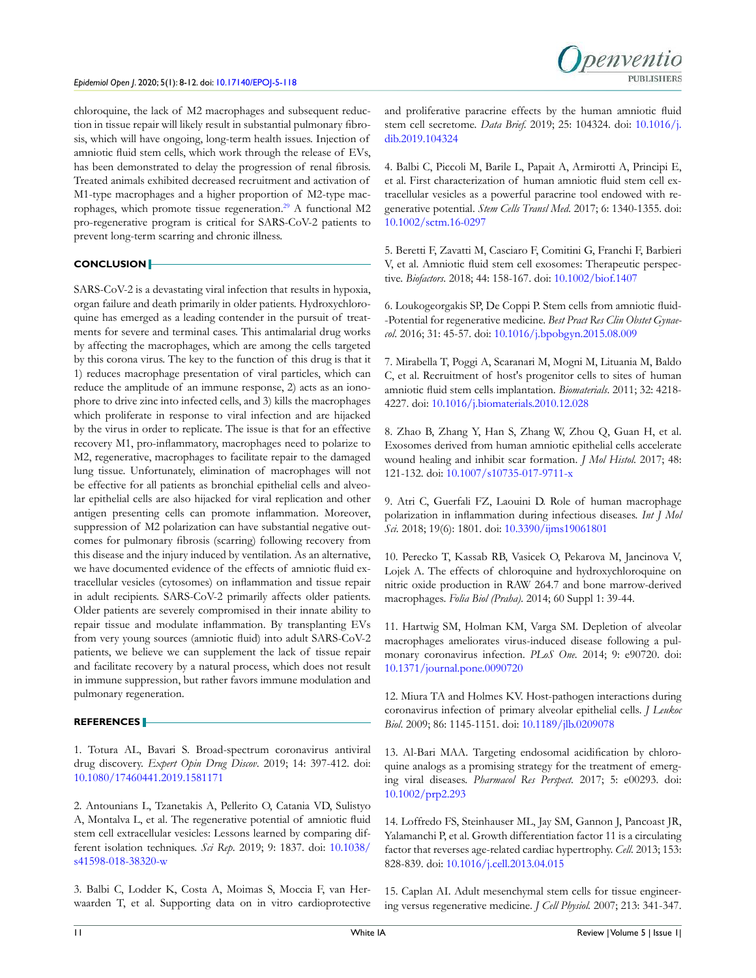

chloroquine, the lack of M2 macrophages and subsequent reduction in tissue repair will likely result in substantial pulmonary fibrosis, which will have ongoing, long-term health issues. Injection of amniotic fluid stem cells, which work through the release of EVs, has been demonstrated to delay the progression of renal fibrosis. Treated animals exhibited decreased recruitment and activation of M1-type macrophages and a higher proportion of M2-type macrophages, which promote tissue regeneration.<sup>29</sup> A functional M2 pro-regenerative program is critical for SARS-CoV-2 patients to prevent long-term scarring and chronic illness.

## **CONCLUSION**

SARS-CoV-2 is a devastating viral infection that results in hypoxia, organ failure and death primarily in older patients. Hydroxychloroquine has emerged as a leading contender in the pursuit of treatments for severe and terminal cases. This antimalarial drug works by affecting the macrophages, which are among the cells targeted by this corona virus. The key to the function of this drug is that it 1) reduces macrophage presentation of viral particles, which can reduce the amplitude of an immune response, 2) acts as an ionophore to drive zinc into infected cells, and 3) kills the macrophages which proliferate in response to viral infection and are hijacked by the virus in order to replicate. The issue is that for an effective recovery M1, pro-inflammatory, macrophages need to polarize to M2, regenerative, macrophages to facilitate repair to the damaged lung tissue. Unfortunately, elimination of macrophages will not be effective for all patients as bronchial epithelial cells and alveolar epithelial cells are also hijacked for viral replication and other antigen presenting cells can promote inflammation. Moreover, suppression of M2 polarization can have substantial negative outcomes for pulmonary fibrosis (scarring) following recovery from this disease and the injury induced by ventilation. As an alternative, we have documented evidence of the effects of amniotic fluid extracellular vesicles (cytosomes) on inflammation and tissue repair in adult recipients. SARS-CoV-2 primarily affects older patients. Older patients are severely compromised in their innate ability to repair tissue and modulate inflammation. By transplanting EVs from very young sources (amniotic fluid) into adult SARS-CoV-2 patients, we believe we can supplement the lack of tissue repair and facilitate recovery by a natural process, which does not result in immune suppression, but rather favors immune modulation and pulmonary regeneration.

#### **REFERENCES**

1. Totura AL, Bavari S. Broad-spectrum coronavirus antiviral drug discovery. Expert Opin Drug Discov. 2019; 14: 397-412. doi: 10.1080/17460441.2019.1581171

2. Antounians L, Tzanetakis A, Pellerito O, Catania VD, Sulistyo A, Montalva L, et al. The regenerative potential of amniotic fluid stem cell extracellular vesicles: Lessons learned by comparing different isolation techniques. Sci Rep. 2019; 9: 1837. doi: 10.1038/ s41598-018-38320-w

3. Balbi C, Lodder K, Costa A, Moimas S, Moccia F, van Herwaarden T, et al. Supporting data on in vitro cardioprotective

and proliferative paracrine effects by the human amniotic fluid stem cell secretome. Data Brief. 2019; 25: 104324. doi: 10.1016/j. dib.2019.104324

4. Balbi C, Piccoli M, Barile L, Papait A, Armirotti A, Principi E, et al. First characterization of human amniotic fluid stem cell extracellular vesicles as a powerful paracrine tool endowed with regenerative potential. Stem Cells Transl Med. 2017; 6: 1340-1355. doi: 10.1002/sctm.16-0297

5. Beretti F, Zavatti M, Casciaro F, Comitini G, Franchi F, Barbieri V, et al. Amniotic fluid stem cell exosomes: Therapeutic perspective. Biofactors. 2018; 44: 158-167. doi: 10.1002/biof.1407

6. Loukogeorgakis SP, De Coppi P. Stem cells from amniotic fluid--Potential for regenerative medicine. Best Pract Res Clin Obstet Gynaecol. 2016; 31: 45-57. doi: 10.1016/j.bpobgyn.2015.08.009

7. Mirabella T, Poggi A, Scaranari M, Mogni M, Lituania M, Baldo C, et al. Recruitment of host's progenitor cells to sites of human amniotic fluid stem cells implantation. *Biomaterials*. 2011; 32: 4218-4227. doi: 10.1016/j.biomaterials.2010.12.028

8. Zhao B, Zhang Y, Han S, Zhang W, Zhou Q, Guan H, et al. Exosomes derived from human amniotic epithelial cells accelerate wound healing and inhibit scar formation. *J Mol Histol.* 2017; 48: 121-132. doi: 10.1007/s10735-017-9711-x

9. Atri C, Guerfali FZ, Laouini D. Role of human macrophage polarization in inflammation during infectious diseases. Int J Mol Sci. 2018; 19(6): 1801. doi: 10.3390/ijms19061801

10. Perecko T, Kassab RB, Vasicek O, Pekarova M, Jancinova V, Lojek A. The effects of chloroquine and hydroxychloroquine on nitric oxide production in RAW 264.7 and bone marrow-derived macrophages. Folia Biol (Praha). 2014; 60 Suppl 1: 39-44.

11. Hartwig SM, Holman KM, Varga SM. Depletion of alveolar macrophages ameliorates virus-induced disease following a pulmonary coronavirus infection. PLoS One. 2014; 9: e90720. doi: 10.1371/journal.pone.0090720

12. Miura TA and Holmes KV. Host-pathogen interactions during coronavirus infection of primary alveolar epithelial cells. *J Leukoc* Biol. 2009; 86: 1145-1151. doi: 10.1189/jlb.0209078

13. Al-Bari MAA. Targeting endosomal acidification by chloroquine analogs as a promising strategy for the treatment of emerging viral diseases. Pharmacol Res Perspect. 2017; 5: e00293. doi: 10.1002/prp2.293

14. Loffredo FS, Steinhauser ML, Jay SM, Gannon J, Pancoast JR, Yalamanchi P, et al. Growth differentiation factor 11 is a circulating factor that reverses age-related cardiac hypertrophy. Cell. 2013; 153: 828-839. doi: 10.1016/j.cell.2013.04.015

15. Caplan AI. Adult mesenchymal stem cells for tissue engineering versus regenerative medicine. *J Cell Physiol*. 2007; 213: 341-347.